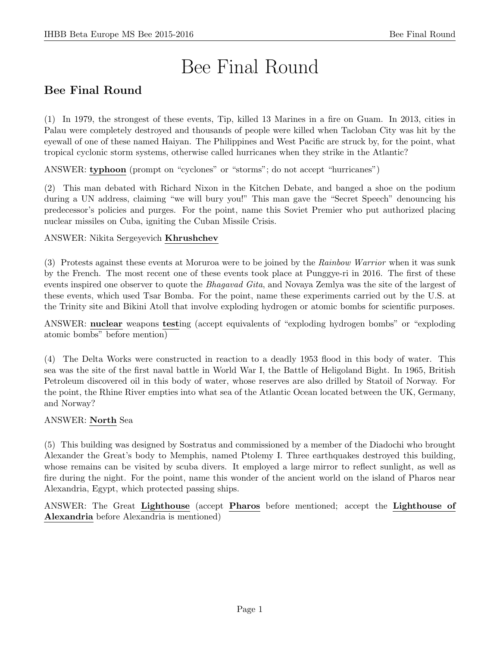# Bee Final Round

# Bee Final Round

(1) In 1979, the strongest of these events, Tip, killed 13 Marines in a fire on Guam. In 2013, cities in Palau were completely destroyed and thousands of people were killed when Tacloban City was hit by the eyewall of one of these named Haiyan. The Philippines and West Pacific are struck by, for the point, what tropical cyclonic storm systems, otherwise called hurricanes when they strike in the Atlantic?

ANSWER: typhoon (prompt on "cyclones" or "storms"; do not accept "hurricanes")

(2) This man debated with Richard Nixon in the Kitchen Debate, and banged a shoe on the podium during a UN address, claiming "we will bury you!" This man gave the "Secret Speech" denouncing his predecessor's policies and purges. For the point, name this Soviet Premier who put authorized placing nuclear missiles on Cuba, igniting the Cuban Missile Crisis.

# ANSWER: Nikita Sergeyevich Khrushchev

(3) Protests against these events at Moruroa were to be joined by the Rainbow Warrior when it was sunk by the French. The most recent one of these events took place at Punggye-ri in 2016. The first of these events inspired one observer to quote the *Bhagavad Gita*, and Novaya Zemlya was the site of the largest of these events, which used Tsar Bomba. For the point, name these experiments carried out by the U.S. at the Trinity site and Bikini Atoll that involve exploding hydrogen or atomic bombs for scientific purposes.

ANSWER: nuclear weapons testing (accept equivalents of "exploding hydrogen bombs" or "exploding atomic bombs" before mention)

(4) The Delta Works were constructed in reaction to a deadly 1953 flood in this body of water. This sea was the site of the first naval battle in World War I, the Battle of Heligoland Bight. In 1965, British Petroleum discovered oil in this body of water, whose reserves are also drilled by Statoil of Norway. For the point, the Rhine River empties into what sea of the Atlantic Ocean located between the UK, Germany, and Norway?

# ANSWER: North Sea

(5) This building was designed by Sostratus and commissioned by a member of the Diadochi who brought Alexander the Great's body to Memphis, named Ptolemy I. Three earthquakes destroyed this building, whose remains can be visited by scuba divers. It employed a large mirror to reflect sunlight, as well as fire during the night. For the point, name this wonder of the ancient world on the island of Pharos near Alexandria, Egypt, which protected passing ships.

ANSWER: The Great Lighthouse (accept Pharos before mentioned; accept the Lighthouse of Alexandria before Alexandria is mentioned)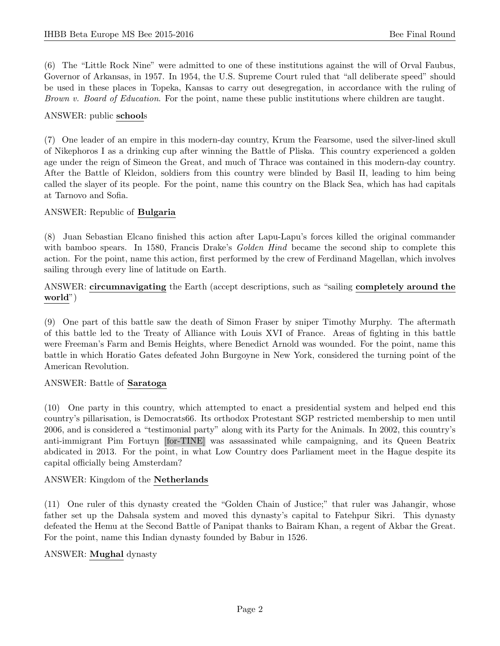(6) The "Little Rock Nine" were admitted to one of these institutions against the will of Orval Faubus, Governor of Arkansas, in 1957. In 1954, the U.S. Supreme Court ruled that "all deliberate speed" should be used in these places in Topeka, Kansas to carry out desegregation, in accordance with the ruling of Brown v. Board of Education. For the point, name these public institutions where children are taught.

# ANSWER: public schools

(7) One leader of an empire in this modern-day country, Krum the Fearsome, used the silver-lined skull of Nikephoros I as a drinking cup after winning the Battle of Pliska. This country experienced a golden age under the reign of Simeon the Great, and much of Thrace was contained in this modern-day country. After the Battle of Kleidon, soldiers from this country were blinded by Basil II, leading to him being called the slayer of its people. For the point, name this country on the Black Sea, which has had capitals at Tarnovo and Sofia.

# ANSWER: Republic of Bulgaria

(8) Juan Sebastian Elcano finished this action after Lapu-Lapu's forces killed the original commander with bamboo spears. In 1580, Francis Drake's *Golden Hind* became the second ship to complete this action. For the point, name this action, first performed by the crew of Ferdinand Magellan, which involves sailing through every line of latitude on Earth.

ANSWER: circumnavigating the Earth (accept descriptions, such as "sailing completely around the world")

(9) One part of this battle saw the death of Simon Fraser by sniper Timothy Murphy. The aftermath of this battle led to the Treaty of Alliance with Louis XVI of France. Areas of fighting in this battle were Freeman's Farm and Bemis Heights, where Benedict Arnold was wounded. For the point, name this battle in which Horatio Gates defeated John Burgoyne in New York, considered the turning point of the American Revolution.

# ANSWER: Battle of Saratoga

(10) One party in this country, which attempted to enact a presidential system and helped end this country's pillarisation, is Democrats66. Its orthodox Protestant SGP restricted membership to men until 2006, and is considered a "testimonial party" along with its Party for the Animals. In 2002, this country's anti-immigrant Pim Fortuyn [for-TINE] was assassinated while campaigning, and its Queen Beatrix abdicated in 2013. For the point, in what Low Country does Parliament meet in the Hague despite its capital officially being Amsterdam?

# ANSWER: Kingdom of the Netherlands

(11) One ruler of this dynasty created the "Golden Chain of Justice;" that ruler was Jahangir, whose father set up the Dahsala system and moved this dynasty's capital to Fatehpur Sikri. This dynasty defeated the Hemu at the Second Battle of Panipat thanks to Bairam Khan, a regent of Akbar the Great. For the point, name this Indian dynasty founded by Babur in 1526.

# ANSWER: Mughal dynasty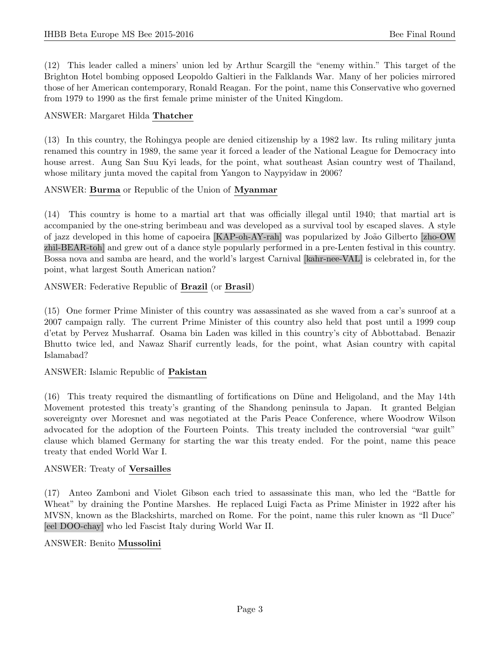(12) This leader called a miners' union led by Arthur Scargill the "enemy within." This target of the Brighton Hotel bombing opposed Leopoldo Galtieri in the Falklands War. Many of her policies mirrored those of her American contemporary, Ronald Reagan. For the point, name this Conservative who governed from 1979 to 1990 as the first female prime minister of the United Kingdom.

# ANSWER: Margaret Hilda Thatcher

(13) In this country, the Rohingya people are denied citizenship by a 1982 law. Its ruling military junta renamed this country in 1989, the same year it forced a leader of the National League for Democracy into house arrest. Aung San Suu Kyi leads, for the point, what southeast Asian country west of Thailand, whose military junta moved the capital from Yangon to Naypyidaw in 2006?

# ANSWER: Burma or Republic of the Union of Myanmar

(14) This country is home to a martial art that was officially illegal until 1940; that martial art is accompanied by the one-string berimbeau and was developed as a survival tool by escaped slaves. A style of jazz developed in this home of capoeira [KAP-oh-AY-rah] was popularized by João Gilberto [zho-OW] zhil-BEAR-toh] and grew out of a dance style popularly performed in a pre-Lenten festival in this country. Bossa nova and samba are heard, and the world's largest Carnival [kahr-nee-VAL] is celebrated in, for the point, what largest South American nation?

ANSWER: Federative Republic of Brazil (or Brasil)

(15) One former Prime Minister of this country was assassinated as she waved from a car's sunroof at a 2007 campaign rally. The current Prime Minister of this country also held that post until a 1999 coup d'etat by Pervez Musharraf. Osama bin Laden was killed in this country's city of Abbottabad. Benazir Bhutto twice led, and Nawaz Sharif currently leads, for the point, what Asian country with capital Islamabad?

# ANSWER: Islamic Republic of Pakistan

(16) This treaty required the dismantling of fortifications on D¨une and Heligoland, and the May 14th Movement protested this treaty's granting of the Shandong peninsula to Japan. It granted Belgian sovereignty over Moresnet and was negotiated at the Paris Peace Conference, where Woodrow Wilson advocated for the adoption of the Fourteen Points. This treaty included the controversial "war guilt" clause which blamed Germany for starting the war this treaty ended. For the point, name this peace treaty that ended World War I.

# ANSWER: Treaty of Versailles

(17) Anteo Zamboni and Violet Gibson each tried to assassinate this man, who led the "Battle for Wheat" by draining the Pontine Marshes. He replaced Luigi Facta as Prime Minister in 1922 after his MVSN, known as the Blackshirts, marched on Rome. For the point, name this ruler known as "Il Duce" [eel DOO-chay] who led Fascist Italy during World War II.

# ANSWER: Benito Mussolini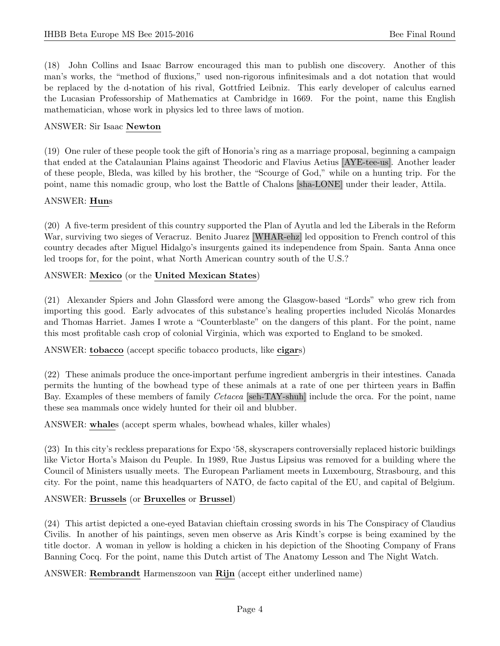(18) John Collins and Isaac Barrow encouraged this man to publish one discovery. Another of this man's works, the "method of fluxions," used non-rigorous infinitesimals and a dot notation that would be replaced by the d-notation of his rival, Gottfried Leibniz. This early developer of calculus earned the Lucasian Professorship of Mathematics at Cambridge in 1669. For the point, name this English mathematician, whose work in physics led to three laws of motion.

# ANSWER: Sir Isaac Newton

(19) One ruler of these people took the gift of Honoria's ring as a marriage proposal, beginning a campaign that ended at the Catalaunian Plains against Theodoric and Flavius Aetius [AYE-tee-us]. Another leader of these people, Bleda, was killed by his brother, the "Scourge of God," while on a hunting trip. For the point, name this nomadic group, who lost the Battle of Chalons [sha-LONE] under their leader, Attila.

#### ANSWER: Huns

(20) A five-term president of this country supported the Plan of Ayutla and led the Liberals in the Reform War, surviving two sieges of Veracruz. Benito Juarez [WHAR-ehz] led opposition to French control of this country decades after Miguel Hidalgo's insurgents gained its independence from Spain. Santa Anna once led troops for, for the point, what North American country south of the U.S.?

# ANSWER: Mexico (or the United Mexican States)

(21) Alexander Spiers and John Glassford were among the Glasgow-based "Lords" who grew rich from importing this good. Early advocates of this substance's healing properties included Nicolás Monardes and Thomas Harriet. James I wrote a "Counterblaste" on the dangers of this plant. For the point, name this most profitable cash crop of colonial Virginia, which was exported to England to be smoked.

ANSWER: tobacco (accept specific tobacco products, like cigars)

(22) These animals produce the once-important perfume ingredient ambergris in their intestines. Canada permits the hunting of the bowhead type of these animals at a rate of one per thirteen years in Baffin Bay. Examples of these members of family Cetacea [seh-TAY-shuh] include the orca. For the point, name these sea mammals once widely hunted for their oil and blubber.

ANSWER: whales (accept sperm whales, bowhead whales, killer whales)

(23) In this city's reckless preparations for Expo '58, skyscrapers controversially replaced historic buildings like Victor Horta's Maison du Peuple. In 1989, Rue Justus Lipsius was removed for a building where the Council of Ministers usually meets. The European Parliament meets in Luxembourg, Strasbourg, and this city. For the point, name this headquarters of NATO, de facto capital of the EU, and capital of Belgium.

# ANSWER: Brussels (or Bruxelles or Brussel)

(24) This artist depicted a one-eyed Batavian chieftain crossing swords in his The Conspiracy of Claudius Civilis. In another of his paintings, seven men observe as Aris Kindt's corpse is being examined by the title doctor. A woman in yellow is holding a chicken in his depiction of the Shooting Company of Frans Banning Cocq. For the point, name this Dutch artist of The Anatomy Lesson and The Night Watch.

ANSWER: Rembrandt Harmenszoon van Rijn (accept either underlined name)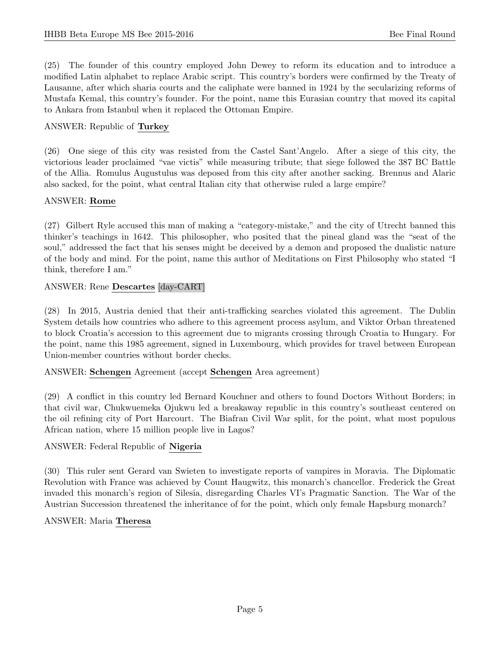(25) The founder of this country employed John Dewey to reform its education and to introduce a modified Latin alphabet to replace Arabic script. This country's borders were confirmed by the Treaty of Lausanne, after which sharia courts and the caliphate were banned in 1924 by the secularizing reforms of Mustafa Kemal, this country's founder. For the point, name this Eurasian country that moved its capital to Ankara from Istanbul when it replaced the Ottoman Empire.

# ANSWER: Republic of Turkey

(26) One siege of this city was resisted from the Castel Sant'Angelo. After a siege of this city, the victorious leader proclaimed "vae victis" while measuring tribute; that siege followed the 387 BC Battle of the Allia. Romulus Augustulus was deposed from this city after another sacking. Brennus and Alaric also sacked, for the point, what central Italian city that otherwise ruled a large empire?

# ANSWER: Rome

(27) Gilbert Ryle accused this man of making a "category-mistake," and the city of Utrecht banned this thinker's teachings in 1642. This philosopher, who posited that the pineal gland was the "seat of the soul," addressed the fact that his senses might be deceived by a demon and proposed the dualistic nature of the body and mind. For the point, name this author of Meditations on First Philosophy who stated "I think, therefore I am."

# ANSWER: Rene Descartes [day-CART]

(28) In 2015, Austria denied that their anti-trafficking searches violated this agreement. The Dublin System details how countries who adhere to this agreement process asylum, and Viktor Orban threatened to block Croatia's accession to this agreement due to migrants crossing through Croatia to Hungary. For the point, name this 1985 agreement, signed in Luxembourg, which provides for travel between European Union-member countries without border checks.

# ANSWER: Schengen Agreement (accept Schengen Area agreement)

(29) A conflict in this country led Bernard Kouchner and others to found Doctors Without Borders; in that civil war, Chukwuemeka Ojukwu led a breakaway republic in this country's southeast centered on the oil refining city of Port Harcourt. The Biafran Civil War split, for the point, what most populous African nation, where 15 million people live in Lagos?

# ANSWER: Federal Republic of Nigeria

(30) This ruler sent Gerard van Swieten to investigate reports of vampires in Moravia. The Diplomatic Revolution with France was achieved by Count Haugwitz, this monarch's chancellor. Frederick the Great invaded this monarch's region of Silesia, disregarding Charles VI's Pragmatic Sanction. The War of the Austrian Succession threatened the inheritance of for the point, which only female Hapsburg monarch?

# ANSWER: Maria Theresa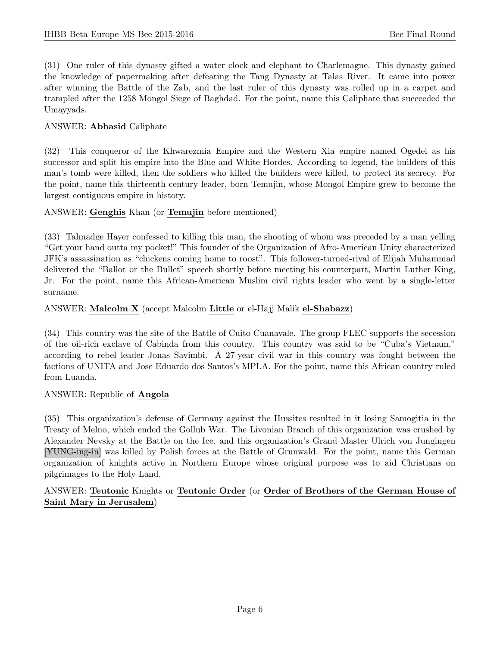(31) One ruler of this dynasty gifted a water clock and elephant to Charlemagne. This dynasty gained the knowledge of papermaking after defeating the Tang Dynasty at Talas River. It came into power after winning the Battle of the Zab, and the last ruler of this dynasty was rolled up in a carpet and trampled after the 1258 Mongol Siege of Baghdad. For the point, name this Caliphate that succeeded the Umayyads.

# ANSWER: Abbasid Caliphate

(32) This conqueror of the Khwarezmia Empire and the Western Xia empire named Ogedei as his successor and split his empire into the Blue and White Hordes. According to legend, the builders of this man's tomb were killed, then the soldiers who killed the builders were killed, to protect its secrecy. For the point, name this thirteenth century leader, born Temujin, whose Mongol Empire grew to become the largest contiguous empire in history.

# ANSWER: Genghis Khan (or Temujin before mentioned)

(33) Talmadge Hayer confessed to killing this man, the shooting of whom was preceded by a man yelling "Get your hand outta my pocket!" This founder of the Organization of Afro-American Unity characterized JFK's assassination as "chickens coming home to roost". This follower-turned-rival of Elijah Muhammad delivered the "Ballot or the Bullet" speech shortly before meeting his counterpart, Martin Luther King, Jr. For the point, name this African-American Muslim civil rights leader who went by a single-letter surname.

# ANSWER: Malcolm X (accept Malcolm Little or el-Hajj Malik el-Shabazz)

(34) This country was the site of the Battle of Cuito Cuanavale. The group FLEC supports the secession of the oil-rich exclave of Cabinda from this country. This country was said to be "Cuba's Vietnam," according to rebel leader Jonas Savimbi. A 27-year civil war in this country was fought between the factions of UNITA and Jose Eduardo dos Santos's MPLA. For the point, name this African country ruled from Luanda.

# ANSWER: Republic of Angola

(35) This organization's defense of Germany against the Hussites resulted in it losing Samogitia in the Treaty of Melno, which ended the Gollub War. The Livonian Branch of this organization was crushed by Alexander Nevsky at the Battle on the Ice, and this organization's Grand Master Ulrich von Jungingen [YUNG-ing-in] was killed by Polish forces at the Battle of Grunwald. For the point, name this German organization of knights active in Northern Europe whose original purpose was to aid Christians on pilgrimages to the Holy Land.

# ANSWER: Teutonic Knights or Teutonic Order (or Order of Brothers of the German House of Saint Mary in Jerusalem)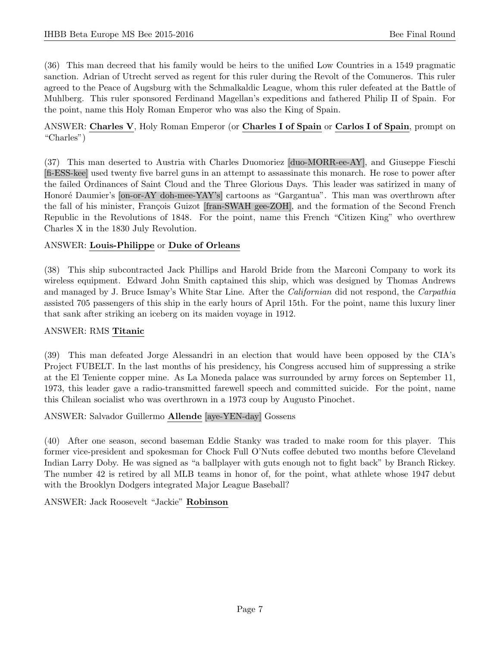(36) This man decreed that his family would be heirs to the unified Low Countries in a 1549 pragmatic sanction. Adrian of Utrecht served as regent for this ruler during the Revolt of the Comuneros. This ruler agreed to the Peace of Augsburg with the Schmalkaldic League, whom this ruler defeated at the Battle of Muhlberg. This ruler sponsored Ferdinand Magellan's expeditions and fathered Philip II of Spain. For the point, name this Holy Roman Emperor who was also the King of Spain.

# ANSWER: Charles V, Holy Roman Emperor (or Charles I of Spain or Carlos I of Spain, prompt on "Charles")

(37) This man deserted to Austria with Charles Duomoriez [duo-MORR-ee-AY], and Giuseppe Fieschi [fi-ESS-kee] used twenty five barrel guns in an attempt to assassinate this monarch. He rose to power after the failed Ordinances of Saint Cloud and the Three Glorious Days. This leader was satirized in many of Honoré Daumier's [on-or-AY doh-mee-YAY's] cartoons as "Gargantua". This man was overthrown after the fall of his minister, François Guizot [fran-SWAH gee-ZOH], and the formation of the Second French Republic in the Revolutions of 1848. For the point, name this French "Citizen King" who overthrew Charles X in the 1830 July Revolution.

# ANSWER: Louis-Philippe or Duke of Orleans

(38) This ship subcontracted Jack Phillips and Harold Bride from the Marconi Company to work its wireless equipment. Edward John Smith captained this ship, which was designed by Thomas Andrews and managed by J. Bruce Ismay's White Star Line. After the *Californian* did not respond, the *Carpathia* assisted 705 passengers of this ship in the early hours of April 15th. For the point, name this luxury liner that sank after striking an iceberg on its maiden voyage in 1912.

# ANSWER: RMS Titanic

(39) This man defeated Jorge Alessandri in an election that would have been opposed by the CIA's Project FUBELT. In the last months of his presidency, his Congress accused him of suppressing a strike at the El Teniente copper mine. As La Moneda palace was surrounded by army forces on September 11, 1973, this leader gave a radio-transmitted farewell speech and committed suicide. For the point, name this Chilean socialist who was overthrown in a 1973 coup by Augusto Pinochet.

# ANSWER: Salvador Guillermo Allende [aye-YEN-day] Gossens

(40) After one season, second baseman Eddie Stanky was traded to make room for this player. This former vice-president and spokesman for Chock Full O'Nuts coffee debuted two months before Cleveland Indian Larry Doby. He was signed as "a ballplayer with guts enough not to fight back" by Branch Rickey. The number 42 is retired by all MLB teams in honor of, for the point, what athlete whose 1947 debut with the Brooklyn Dodgers integrated Major League Baseball?

ANSWER: Jack Roosevelt "Jackie" Robinson